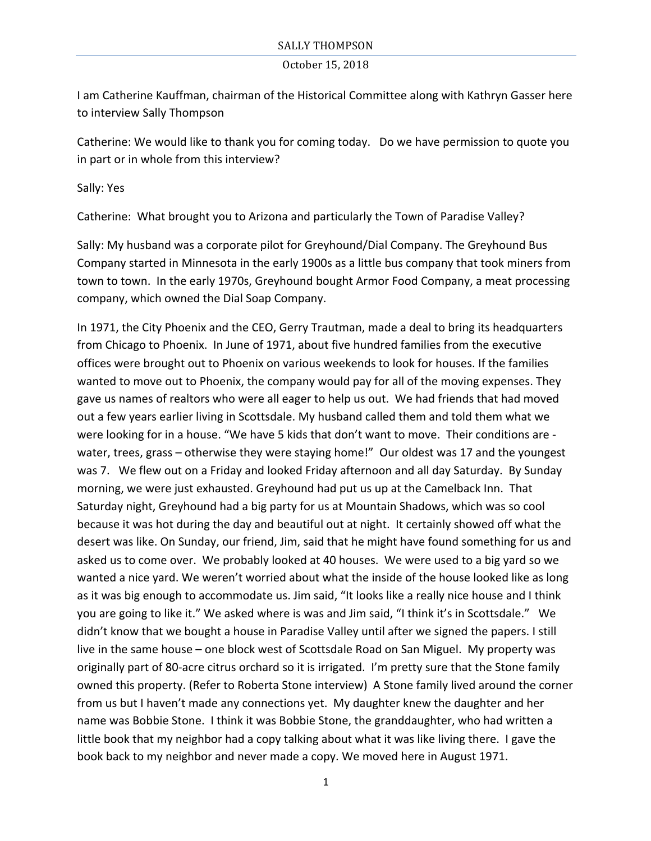I am Catherine Kauffman, chairman of the Historical Committee along with Kathryn Gasser here to interview Sally Thompson

Catherine: We would like to thank you for coming today. Do we have permission to quote you in part or in whole from this interview?

Sally: Yes

Catherine: What brought you to Arizona and particularly the Town of Paradise Valley?

Sally: My husband was a corporate pilot for Greyhound/Dial Company. The Greyhound Bus Company started in Minnesota in the early 1900s as a little bus company that took miners from town to town. In the early 1970s, Greyhound bought Armor Food Company, a meat processing company, which owned the Dial Soap Company.

In 1971, the City Phoenix and the CEO, Gerry Trautman, made a deal to bring its headquarters from Chicago to Phoenix. In June of 1971, about five hundred families from the executive offices were brought out to Phoenix on various weekends to look for houses. If the families wanted to move out to Phoenix, the company would pay for all of the moving expenses. They gave us names of realtors who were all eager to help us out. We had friends that had moved out a few years earlier living in Scottsdale. My husband called them and told them what we were looking for in a house. "We have 5 kids that don't want to move. Their conditions are water, trees, grass  $-$  otherwise they were staying home!" Our oldest was 17 and the youngest was 7. We flew out on a Friday and looked Friday afternoon and all day Saturday. By Sunday morning, we were just exhausted. Greyhound had put us up at the Camelback Inn. That Saturday night, Greyhound had a big party for us at Mountain Shadows, which was so cool because it was hot during the day and beautiful out at night. It certainly showed off what the desert was like. On Sunday, our friend, Jim, said that he might have found something for us and asked us to come over. We probably looked at 40 houses. We were used to a big yard so we wanted a nice yard. We weren't worried about what the inside of the house looked like as long as it was big enough to accommodate us. Jim said, "It looks like a really nice house and I think you are going to like it." We asked where is was and Jim said, "I think it's in Scottsdale." We didn't know that we bought a house in Paradise Valley until after we signed the papers. I still live in the same house – one block west of Scottsdale Road on San Miguel. My property was originally part of 80-acre citrus orchard so it is irrigated. I'm pretty sure that the Stone family owned this property. (Refer to Roberta Stone interview) A Stone family lived around the corner from us but I haven't made any connections yet. My daughter knew the daughter and her name was Bobbie Stone. I think it was Bobbie Stone, the granddaughter, who had written a little book that my neighbor had a copy talking about what it was like living there. I gave the book back to my neighbor and never made a copy. We moved here in August 1971.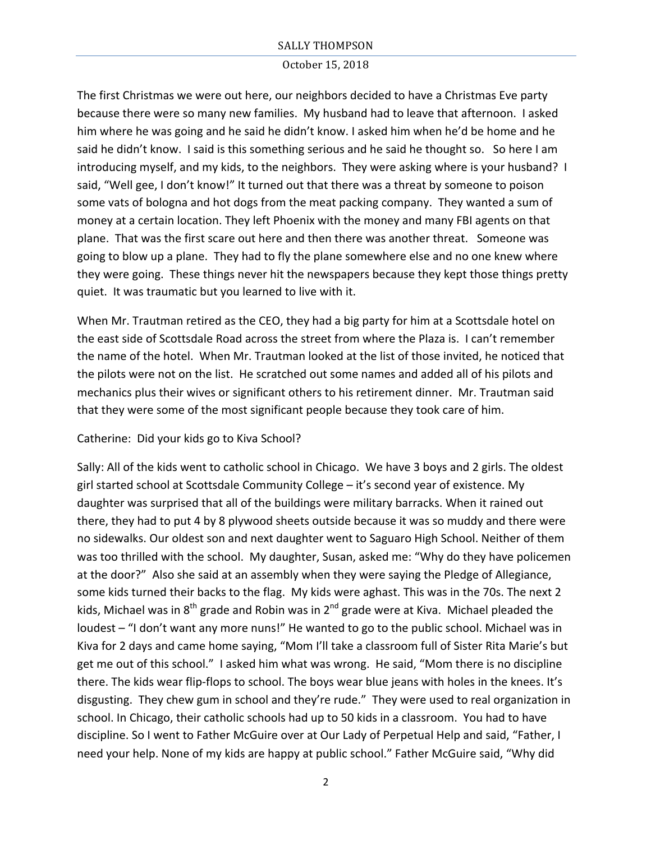The first Christmas we were out here, our neighbors decided to have a Christmas Eve party because there were so many new families. My husband had to leave that afternoon. I asked him where he was going and he said he didn't know. I asked him when he'd be home and he said he didn't know. I said is this something serious and he said he thought so. So here I am introducing myself, and my kids, to the neighbors. They were asking where is your husband? I said, "Well gee, I don't know!" It turned out that there was a threat by someone to poison some vats of bologna and hot dogs from the meat packing company. They wanted a sum of money at a certain location. They left Phoenix with the money and many FBI agents on that plane. That was the first scare out here and then there was another threat. Someone was going to blow up a plane. They had to fly the plane somewhere else and no one knew where they were going. These things never hit the newspapers because they kept those things pretty quiet. It was traumatic but you learned to live with it.

When Mr. Trautman retired as the CEO, they had a big party for him at a Scottsdale hotel on the east side of Scottsdale Road across the street from where the Plaza is. I can't remember the name of the hotel. When Mr. Trautman looked at the list of those invited, he noticed that the pilots were not on the list. He scratched out some names and added all of his pilots and mechanics plus their wives or significant others to his retirement dinner. Mr. Trautman said that they were some of the most significant people because they took care of him.

# Catherine: Did your kids go to Kiva School?

Sally: All of the kids went to catholic school in Chicago. We have 3 boys and 2 girls. The oldest girl started school at Scottsdale Community College  $-$  it's second year of existence. My daughter was surprised that all of the buildings were military barracks. When it rained out there, they had to put 4 by 8 plywood sheets outside because it was so muddy and there were no sidewalks. Our oldest son and next daughter went to Saguaro High School. Neither of them was too thrilled with the school. My daughter, Susan, asked me: "Why do they have policemen at the door?" Also she said at an assembly when they were saying the Pledge of Allegiance, some kids turned their backs to the flag. My kids were aghast. This was in the 70s. The next 2 kids, Michael was in  $8<sup>th</sup>$  grade and Robin was in  $2<sup>nd</sup>$  grade were at Kiva. Michael pleaded the loudest – "I don't want any more nuns!" He wanted to go to the public school. Michael was in Kiva for 2 days and came home saying, "Mom I'll take a classroom full of Sister Rita Marie's but get me out of this school." I asked him what was wrong. He said, "Mom there is no discipline there. The kids wear flip-flops to school. The boys wear blue jeans with holes in the knees. It's disgusting. They chew gum in school and they're rude." They were used to real organization in school. In Chicago, their catholic schools had up to 50 kids in a classroom. You had to have discipline. So I went to Father McGuire over at Our Lady of Perpetual Help and said, "Father, I need your help. None of my kids are happy at public school." Father McGuire said, "Why did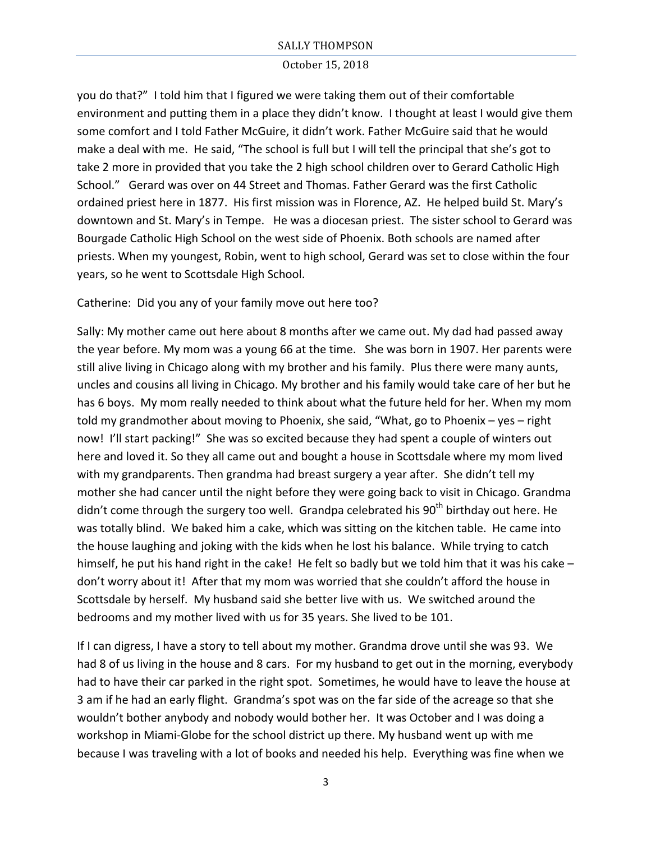#### October 15, 2018

you do that?" I told him that I figured we were taking them out of their comfortable environment and putting them in a place they didn't know. I thought at least I would give them some comfort and I told Father McGuire, it didn't work. Father McGuire said that he would make a deal with me. He said, "The school is full but I will tell the principal that she's got to take 2 more in provided that you take the 2 high school children over to Gerard Catholic High School." Gerard was over on 44 Street and Thomas. Father Gerard was the first Catholic ordained priest here in 1877. His first mission was in Florence, AZ. He helped build St. Mary's downtown and St. Mary's in Tempe. He was a diocesan priest. The sister school to Gerard was Bourgade Catholic High School on the west side of Phoenix. Both schools are named after priests. When my youngest, Robin, went to high school, Gerard was set to close within the four years, so he went to Scottsdale High School.

Catherine: Did you any of your family move out here too?

Sally: My mother came out here about 8 months after we came out. My dad had passed away the year before. My mom was a young 66 at the time. She was born in 1907. Her parents were still alive living in Chicago along with my brother and his family. Plus there were many aunts, uncles and cousins all living in Chicago. My brother and his family would take care of her but he has 6 boys. My mom really needed to think about what the future held for her. When my mom told my grandmother about moving to Phoenix, she said, "What, go to Phoenix  $-$  yes  $-$  right now! I'll start packing!" She was so excited because they had spent a couple of winters out here and loved it. So they all came out and bought a house in Scottsdale where my mom lived with my grandparents. Then grandma had breast surgery a year after. She didn't tell my mother she had cancer until the night before they were going back to visit in Chicago. Grandma didn't come through the surgery too well. Grandpa celebrated his 90<sup>th</sup> birthday out here. He was totally blind. We baked him a cake, which was sitting on the kitchen table. He came into the house laughing and joking with the kids when he lost his balance. While trying to catch himself, he put his hand right in the cake! He felt so badly but we told him that it was his cake – don't worry about it! After that my mom was worried that she couldn't afford the house in Scottsdale by herself. My husband said she better live with us. We switched around the bedrooms and my mother lived with us for 35 years. She lived to be 101.

If I can digress, I have a story to tell about my mother. Grandma drove until she was 93. We had 8 of us living in the house and 8 cars. For my husband to get out in the morning, everybody had to have their car parked in the right spot. Sometimes, he would have to leave the house at 3 am if he had an early flight. Grandma's spot was on the far side of the acreage so that she wouldn't bother anybody and nobody would bother her. It was October and I was doing a workshop in Miami-Globe for the school district up there. My husband went up with me because I was traveling with a lot of books and needed his help. Everything was fine when we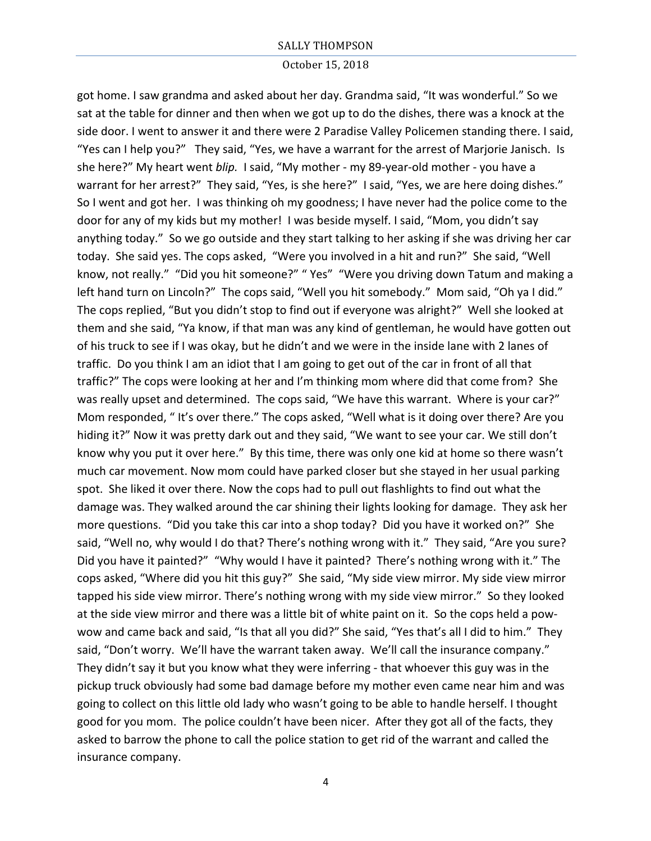#### October 15, 2018

got home. I saw grandma and asked about her day. Grandma said, "It was wonderful." So we sat at the table for dinner and then when we got up to do the dishes, there was a knock at the side door. I went to answer it and there were 2 Paradise Valley Policemen standing there. I said, "Yes can I help you?" They said, "Yes, we have a warrant for the arrest of Marjorie Janisch. Is she here?" My heart went *blip.* I said, "My mother - my 89-year-old mother - you have a warrant for her arrest?" They said, "Yes, is she here?" I said, "Yes, we are here doing dishes." So I went and got her. I was thinking oh my goodness; I have never had the police come to the door for any of my kids but my mother! I was beside myself. I said, "Mom, you didn't say anything today." So we go outside and they start talking to her asking if she was driving her car today. She said yes. The cops asked, "Were you involved in a hit and run?" She said, "Well know, not really." "Did you hit someone?" "Yes" "Were you driving down Tatum and making a left hand turn on Lincoln?" The cops said, "Well you hit somebody." Mom said, "Oh ya I did." The cops replied, "But you didn't stop to find out if everyone was alright?" Well she looked at them and she said, "Ya know, if that man was any kind of gentleman, he would have gotten out of his truck to see if I was okay, but he didn't and we were in the inside lane with 2 lanes of traffic. Do you think I am an idiot that I am going to get out of the car in front of all that traffic?" The cops were looking at her and I'm thinking mom where did that come from? She was really upset and determined. The cops said, "We have this warrant. Where is your car?" Mom responded, "It's over there." The cops asked, "Well what is it doing over there? Are you hiding it?" Now it was pretty dark out and they said, "We want to see your car. We still don't know why you put it over here." By this time, there was only one kid at home so there wasn't much car movement. Now mom could have parked closer but she stayed in her usual parking spot. She liked it over there. Now the cops had to pull out flashlights to find out what the damage was. They walked around the car shining their lights looking for damage. They ask her more questions. "Did you take this car into a shop today? Did you have it worked on?" She said, "Well no, why would I do that? There's nothing wrong with it." They said, "Are you sure? Did you have it painted?" "Why would I have it painted? There's nothing wrong with it." The cops asked, "Where did you hit this guy?" She said, "My side view mirror. My side view mirror tapped his side view mirror. There's nothing wrong with my side view mirror." So they looked at the side view mirror and there was a little bit of white paint on it. So the cops held a powwow and came back and said, "Is that all you did?" She said, "Yes that's all I did to him." They said, "Don't worry. We'll have the warrant taken away. We'll call the insurance company." They didn't say it but you know what they were inferring - that whoever this guy was in the pickup truck obviously had some bad damage before my mother even came near him and was going to collect on this little old lady who wasn't going to be able to handle herself. I thought good for you mom. The police couldn't have been nicer. After they got all of the facts, they asked to barrow the phone to call the police station to get rid of the warrant and called the insurance company.

4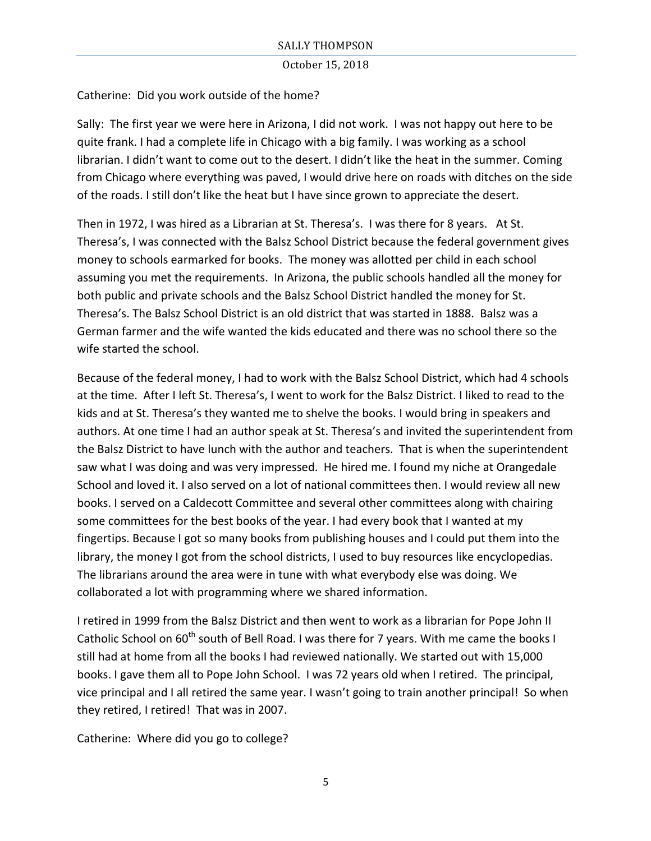Catherine: Did you work outside of the home?

Sally: The first year we were here in Arizona, I did not work. I was not happy out here to be quite frank. I had a complete life in Chicago with a big family. I was working as a school librarian. I didn't want to come out to the desert. I didn't like the heat in the summer. Coming from Chicago where everything was paved, I would drive here on roads with ditches on the side of the roads. I still don't like the heat but I have since grown to appreciate the desert.

Then in 1972, I was hired as a Librarian at St. Theresa's. I was there for 8 years. At St. Theresa's, I was connected with the Balsz School District because the federal government gives money to schools earmarked for books. The money was allotted per child in each school assuming you met the requirements. In Arizona, the public schools handled all the money for both public and private schools and the Balsz School District handled the money for St. Theresa's. The Balsz School District is an old district that was started in 1888. Balsz was a German farmer and the wife wanted the kids educated and there was no school there so the wife started the school.

Because of the federal money, I had to work with the Balsz School District, which had 4 schools at the time. After I left St. Theresa's, I went to work for the Balsz District. I liked to read to the kids and at St. Theresa's they wanted me to shelve the books. I would bring in speakers and authors. At one time I had an author speak at St. Theresa's and invited the superintendent from the Balsz District to have lunch with the author and teachers. That is when the superintendent saw what I was doing and was very impressed. He hired me. I found my niche at Orangedale School and loved it. I also served on a lot of national committees then. I would review all new books. I served on a Caldecott Committee and several other committees along with chairing some committees for the best books of the year. I had every book that I wanted at my fingertips. Because I got so many books from publishing houses and I could put them into the library, the money I got from the school districts, I used to buy resources like encyclopedias. The librarians around the area were in tune with what everybody else was doing. We collaborated a lot with programming where we shared information.

I retired in 1999 from the Balsz District and then went to work as a librarian for Pope John II Catholic School on 60<sup>th</sup> south of Bell Road. I was there for 7 years. With me came the books I still had at home from all the books I had reviewed nationally. We started out with 15,000 books. I gave them all to Pope John School. I was 72 years old when I retired. The principal, vice principal and I all retired the same year. I wasn't going to train another principal! So when they retired, I retired! That was in 2007.

Catherine: Where did you go to college?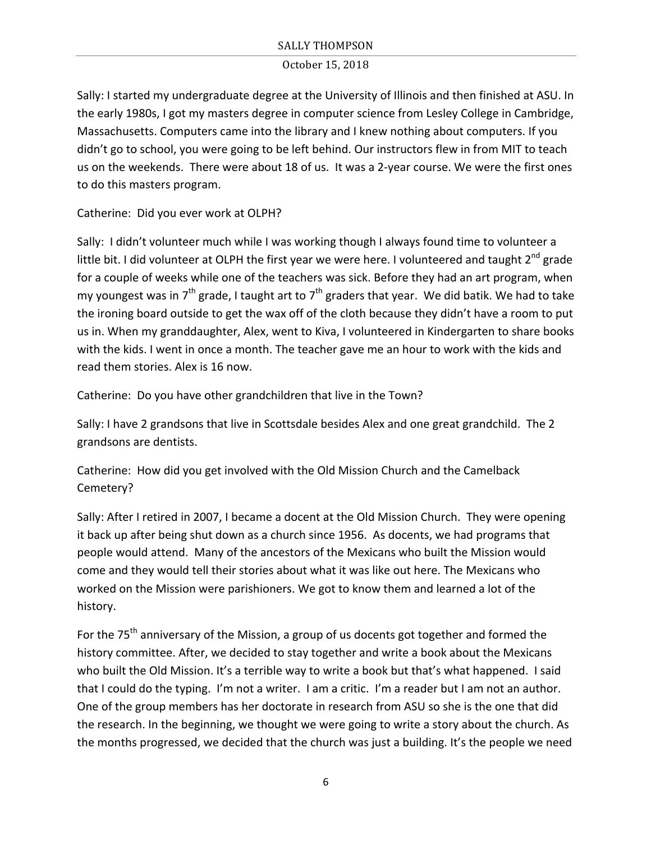### October 15, 2018

Sally: I started my undergraduate degree at the University of Illinois and then finished at ASU. In the early 1980s, I got my masters degree in computer science from Lesley College in Cambridge, Massachusetts. Computers came into the library and I knew nothing about computers. If you didn't go to school, you were going to be left behind. Our instructors flew in from MIT to teach us on the weekends. There were about 18 of us. It was a 2-year course. We were the first ones to do this masters program.

Catherine: Did you ever work at OLPH?

Sally: I didn't volunteer much while I was working though I always found time to volunteer a little bit. I did volunteer at OLPH the first year we were here. I volunteered and taught 2<sup>nd</sup> grade for a couple of weeks while one of the teachers was sick. Before they had an art program, when my youngest was in  $7<sup>th</sup>$  grade, I taught art to  $7<sup>th</sup>$  graders that year. We did batik. We had to take the ironing board outside to get the wax off of the cloth because they didn't have a room to put us in. When my granddaughter, Alex, went to Kiva, I volunteered in Kindergarten to share books with the kids. I went in once a month. The teacher gave me an hour to work with the kids and read them stories. Alex is 16 now.

Catherine: Do you have other grandchildren that live in the Town?

Sally: I have 2 grandsons that live in Scottsdale besides Alex and one great grandchild. The 2 grandsons are dentists.

Catherine: How did you get involved with the Old Mission Church and the Camelback Cemetery?

Sally: After I retired in 2007, I became a docent at the Old Mission Church. They were opening it back up after being shut down as a church since 1956. As docents, we had programs that people would attend. Many of the ancestors of the Mexicans who built the Mission would come and they would tell their stories about what it was like out here. The Mexicans who worked on the Mission were parishioners. We got to know them and learned a lot of the history.

For the 75<sup>th</sup> anniversary of the Mission, a group of us docents got together and formed the history committee. After, we decided to stay together and write a book about the Mexicans who built the Old Mission. It's a terrible way to write a book but that's what happened. I said that I could do the typing. I'm not a writer. I am a critic. I'm a reader but I am not an author. One of the group members has her doctorate in research from ASU so she is the one that did the research. In the beginning, we thought we were going to write a story about the church. As the months progressed, we decided that the church was just a building. It's the people we need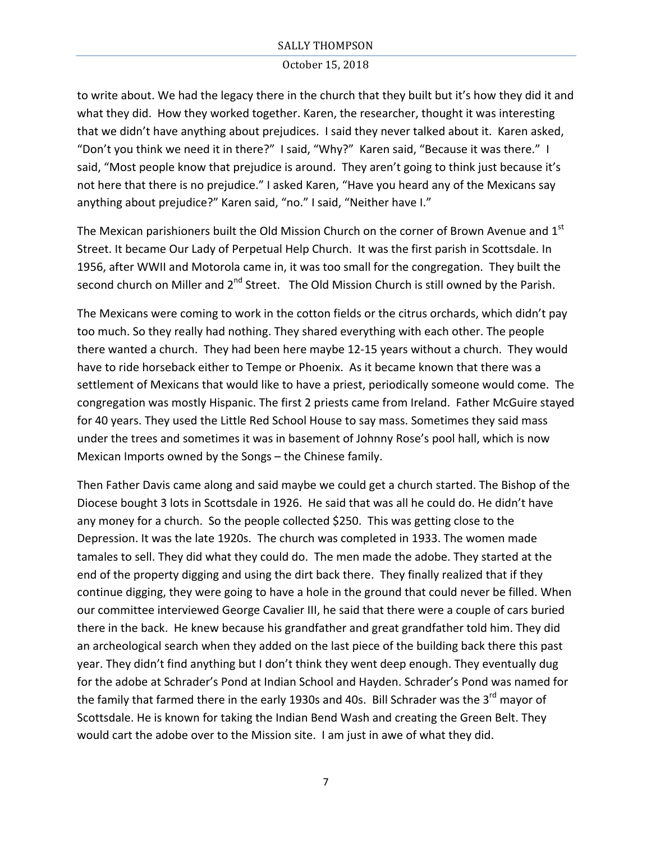to write about. We had the legacy there in the church that they built but it's how they did it and what they did. How they worked together. Karen, the researcher, thought it was interesting that we didn't have anything about prejudices. I said they never talked about it. Karen asked, "Don't you think we need it in there?" I said, "Why?" Karen said, "Because it was there." I said, "Most people know that prejudice is around. They aren't going to think just because it's not here that there is no prejudice." I asked Karen, "Have you heard any of the Mexicans say anything about prejudice?" Karen said, "no." I said, "Neither have I."

The Mexican parishioners built the Old Mission Church on the corner of Brown Avenue and  $1<sup>st</sup>$ Street. It became Our Lady of Perpetual Help Church. It was the first parish in Scottsdale. In 1956, after WWII and Motorola came in, it was too small for the congregation. They built the second church on Miller and 2<sup>nd</sup> Street. The Old Mission Church is still owned by the Parish.

The Mexicans were coming to work in the cotton fields or the citrus orchards, which didn't pay too much. So they really had nothing. They shared everything with each other. The people there wanted a church. They had been here maybe 12-15 years without a church. They would have to ride horseback either to Tempe or Phoenix. As it became known that there was a settlement of Mexicans that would like to have a priest, periodically someone would come. The congregation was mostly Hispanic. The first 2 priests came from Ireland. Father McGuire stayed for 40 years. They used the Little Red School House to say mass. Sometimes they said mass under the trees and sometimes it was in basement of Johnny Rose's pool hall, which is now Mexican Imports owned by the Songs – the Chinese family.

Then Father Davis came along and said maybe we could get a church started. The Bishop of the Diocese bought 3 lots in Scottsdale in 1926. He said that was all he could do. He didn't have any money for a church. So the people collected \$250. This was getting close to the Depression. It was the late 1920s. The church was completed in 1933. The women made tamales to sell. They did what they could do. The men made the adobe. They started at the end of the property digging and using the dirt back there. They finally realized that if they continue digging, they were going to have a hole in the ground that could never be filled. When our committee interviewed George Cavalier III, he said that there were a couple of cars buried there in the back. He knew because his grandfather and great grandfather told him. They did an archeological search when they added on the last piece of the building back there this past year. They didn't find anything but I don't think they went deep enough. They eventually dug for the adobe at Schrader's Pond at Indian School and Hayden. Schrader's Pond was named for the family that farmed there in the early 1930s and 40s. Bill Schrader was the  $3^{rd}$  mayor of Scottsdale. He is known for taking the Indian Bend Wash and creating the Green Belt. They would cart the adobe over to the Mission site. I am just in awe of what they did.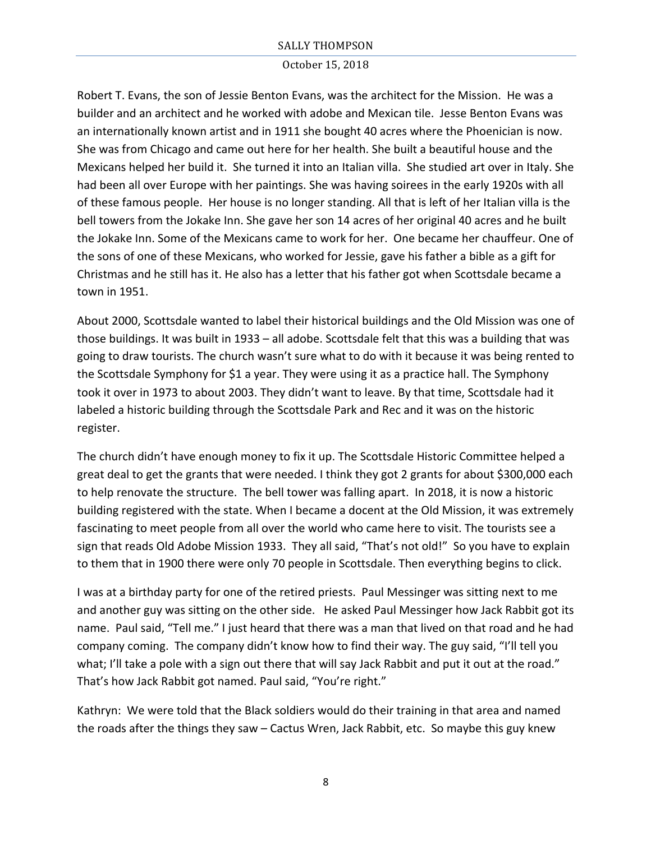### October 15, 2018

Robert T. Evans, the son of Jessie Benton Evans, was the architect for the Mission. He was a builder and an architect and he worked with adobe and Mexican tile. Jesse Benton Evans was an internationally known artist and in 1911 she bought 40 acres where the Phoenician is now. She was from Chicago and came out here for her health. She built a beautiful house and the Mexicans helped her build it. She turned it into an Italian villa. She studied art over in Italy. She had been all over Europe with her paintings. She was having soirees in the early 1920s with all of these famous people. Her house is no longer standing. All that is left of her Italian villa is the bell towers from the Jokake Inn. She gave her son 14 acres of her original 40 acres and he built the Jokake Inn. Some of the Mexicans came to work for her. One became her chauffeur. One of the sons of one of these Mexicans, who worked for Jessie, gave his father a bible as a gift for Christmas and he still has it. He also has a letter that his father got when Scottsdale became a town in 1951.

About 2000, Scottsdale wanted to label their historical buildings and the Old Mission was one of those buildings. It was built in 1933 – all adobe. Scottsdale felt that this was a building that was going to draw tourists. The church wasn't sure what to do with it because it was being rented to the Scottsdale Symphony for \$1 a year. They were using it as a practice hall. The Symphony took it over in 1973 to about 2003. They didn't want to leave. By that time, Scottsdale had it labeled a historic building through the Scottsdale Park and Rec and it was on the historic register. 

The church didn't have enough money to fix it up. The Scottsdale Historic Committee helped a great deal to get the grants that were needed. I think they got 2 grants for about \$300,000 each to help renovate the structure. The bell tower was falling apart. In 2018, it is now a historic building registered with the state. When I became a docent at the Old Mission, it was extremely fascinating to meet people from all over the world who came here to visit. The tourists see a sign that reads Old Adobe Mission 1933. They all said, "That's not old!" So you have to explain to them that in 1900 there were only 70 people in Scottsdale. Then everything begins to click.

I was at a birthday party for one of the retired priests. Paul Messinger was sitting next to me and another guy was sitting on the other side. He asked Paul Messinger how Jack Rabbit got its name. Paul said, "Tell me." I just heard that there was a man that lived on that road and he had company coming. The company didn't know how to find their way. The guy said, "I'll tell you what; I'll take a pole with a sign out there that will say Jack Rabbit and put it out at the road." That's how Jack Rabbit got named. Paul said, "You're right."

Kathryn: We were told that the Black soldiers would do their training in that area and named the roads after the things they saw – Cactus Wren, Jack Rabbit, etc. So maybe this guy knew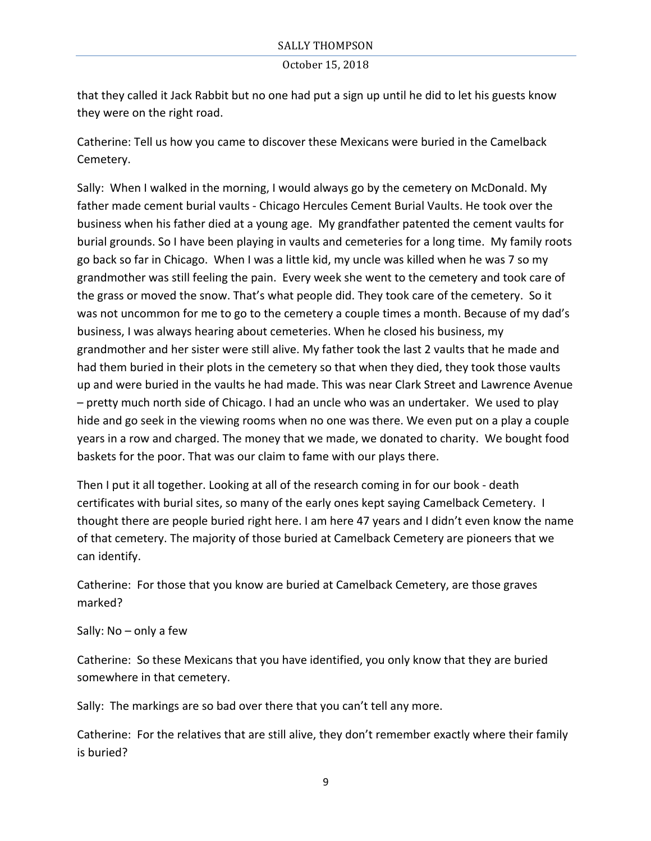that they called it Jack Rabbit but no one had put a sign up until he did to let his guests know they were on the right road.

Catherine: Tell us how you came to discover these Mexicans were buried in the Camelback Cemetery.

Sally: When I walked in the morning, I would always go by the cemetery on McDonald. My father made cement burial vaults - Chicago Hercules Cement Burial Vaults. He took over the business when his father died at a young age. My grandfather patented the cement vaults for burial grounds. So I have been playing in vaults and cemeteries for a long time. My family roots go back so far in Chicago. When I was a little kid, my uncle was killed when he was 7 so my grandmother was still feeling the pain. Every week she went to the cemetery and took care of the grass or moved the snow. That's what people did. They took care of the cemetery. So it was not uncommon for me to go to the cemetery a couple times a month. Because of my dad's business, I was always hearing about cemeteries. When he closed his business, my grandmother and her sister were still alive. My father took the last 2 vaults that he made and had them buried in their plots in the cemetery so that when they died, they took those vaults up and were buried in the vaults he had made. This was near Clark Street and Lawrence Avenue – pretty much north side of Chicago. I had an uncle who was an undertaker. We used to play hide and go seek in the viewing rooms when no one was there. We even put on a play a couple years in a row and charged. The money that we made, we donated to charity. We bought food baskets for the poor. That was our claim to fame with our plays there.

Then I put it all together. Looking at all of the research coming in for our book - death certificates with burial sites, so many of the early ones kept saying Camelback Cemetery. I thought there are people buried right here. I am here 47 years and I didn't even know the name of that cemetery. The majority of those buried at Camelback Cemetery are pioneers that we can identify.

Catherine: For those that you know are buried at Camelback Cemetery, are those graves marked?

# Sally:  $No$  – only a few

Catherine: So these Mexicans that you have identified, you only know that they are buried somewhere in that cemetery.

Sally: The markings are so bad over there that you can't tell any more.

Catherine: For the relatives that are still alive, they don't remember exactly where their family is buried?